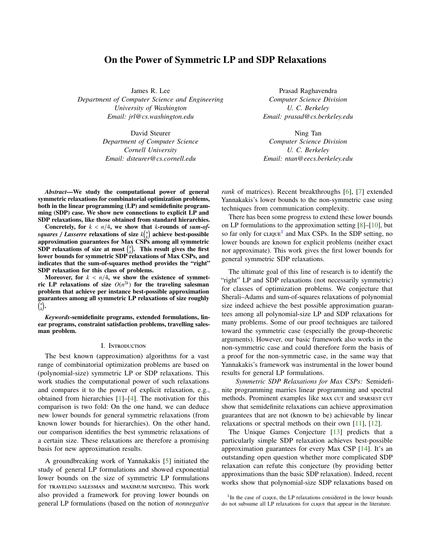# On the Power of Symmetric LP and SDP Relaxations

<span id="page-0-1"></span>James R. Lee *Department of Computer Science and Engineering University of Washington Email: jrl@cs.washington.edu*

> David Steurer *Department of Computer Science Cornell University Email: dsteurer@cs.cornell.edu*

Prasad Raghavendra *Computer Science Division U. C. Berkeley Email: prasad@cs.berkeley.edu*

Ning Tan *Computer Science Division U. C. Berkeley Email: ntan@eecs.berkeley.edu*

*Abstract*—We study the computational power of general symmetric relaxations for combinatorial optimization problems, both in the linear programming (LP) and semidefinite programming (SDP) case. We show new connections to explicit LP and SDP relaxations, like those obtained from standard hierarchies.

Concretely, for  $k < n/4$ , we show that *k*-rounds of *sum-ofsquares / Lasserre* relaxations of size  $k\binom{n}{k}$  achieve best-possible approximation guarantees for Max CSPs among all symmetric SDP relaxations of size at most  $\binom{n}{k}$ . This result gives the first lower bounds for symmetric SDP relaxations of Max CSPs, and indicates that the sum-of-squares method provides the "right" SDP relaxation for this class of problems.

Moreover, for  $k < n/4$ , we show the existence of symmetric LP relaxations of size  $O(n^{2k})$  for the traveling salesman problem that achieve per instance best-possible approximation guarantees among all symmetric LP relaxations of size roughly *n k* .

*Keywords*-semidefinite programs, extended formulations, linear programs, constraint satisfaction problems, travelling salesman problem.

## I. Introduction

The best known (approximation) algorithms for a vast range of combinatorial optimization problems are based on (polynomial-size) symmetric LP or SDP relaxations. This work studies the computational power of such relaxations and compares it to the power of explicit relaxation, e.g., obtained from hierarchies [\[1\]](#page-7-0)–[\[4\]](#page-7-1). The motivation for this comparison is two fold: On the one hand, we can deduce new lower bounds for general symmetric relaxations (from known lower bounds for hierarchies). On the other hand, our comparison identifies the best symmetric relaxations of a certain size. These relaxations are therefore a promising basis for new approximation results.

A groundbreaking work of Yannakakis [\[5\]](#page-7-2) initiated the study of general LP formulations and showed exponential lower bounds on the size of symmetric LP formulations for traveling salesman and maximum matching. This work also provided a framework for proving lower bounds on general LP formulations (based on the notion of *nonnegative* *rank* of matrices). Recent breakthroughs [\[6\]](#page-7-3), [\[7\]](#page-7-4) extended Yannakakis's lower bounds to the non-symmetric case using techniques from communication complexity.

There has been some progress to extend these lower bounds on LP formulations to the approximation setting [\[8\]](#page-8-0)–[\[10\]](#page-8-1), but so far only for clique<sup>[1](#page-0-0)</sup> and Max CSPs. In the SDP setting, no lower bounds are known for explicit problems (neither exact nor approximate). This work gives the first lower bounds for general symmetric SDP relaxations.

The ultimate goal of this line of research is to identify the "right" LP and SDP relaxations (not necessarily symmetric) for classes of optimization problems. We conjecture that Sherali–Adams and sum-of-squares relaxations of polynomial size indeed achieve the best possible approximation guarantees among all polynomial-size LP and SDP relaxations for many problems. Some of our proof techniques are tailored toward the symmetric case (especially the group-theoretic arguments). However, our basic framework also works in the non-symmetric case and could therefore form the basis of a proof for the non-symmetric case, in the same way that Yannakakis's framework was instrumental in the lower bound results for general LP formulations.

*Symmetric SDP Relaxations for Max CSPs:* Semidefinite programming marries linear programming and spectral methods. Prominent examples like MAX CUT and SPARSEST CUT show that semidefinite relaxations can achieve approximation guarantees that are not (known to be) achievable by linear relaxations or spectral methods on their own [\[11\]](#page-8-2), [\[12\]](#page-8-3).

The Unique Games Conjecture [\[13\]](#page-8-4) predicts that a particularly simple SDP relaxation achieves best-possible approximation guarantees for every Max CSP [\[14\]](#page-8-5). It's an outstanding open question whether more complicated SDP relaxation can refute this conjecture (by providing better approximations than the basic SDP relaxation). Indeed, recent works show that polynomial-size SDP relaxations based on

<span id="page-0-0"></span><sup>&</sup>lt;sup>1</sup>In the case of clique, the LP relaxations considered in the lower bounds do not subsume all LP relaxations for clique that appear in the literature.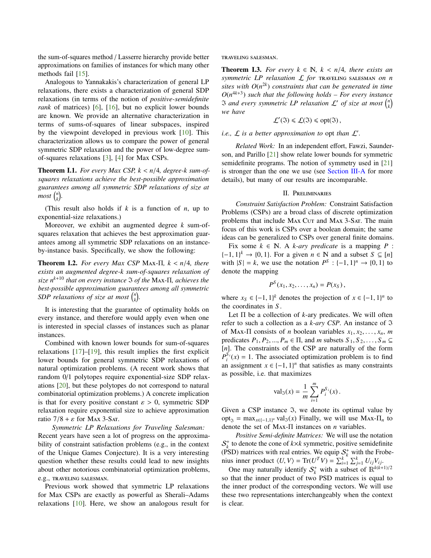<span id="page-1-2"></span>the sum-of-squares method / Lasserre hierarchy provide better approximations on families of instances for which many other methods fail [\[15\]](#page-8-6).

Analogous to Yannakakis's characterization of general LP relaxations, there exists a characterization of general SDP relaxations (in terms of the notion of *positive-semidefinite rank* of matrices) [\[6\]](#page-7-3), [\[16\]](#page-8-7), but no explicit lower bounds are known. We provide an alternative characterization in terms of sums-of-squares of linear subspaces, inspired by the viewpoint developed in previous work [\[10\]](#page-8-1). This characterization allows us to compare the power of general symmetric SDP relaxation and the power of low-degree sumof-squares relaxations [\[3\]](#page-7-5), [\[4\]](#page-7-1) for Max CSPs.

**Theorem I.1.** For every Max CSP,  $k < n/4$ , degree-k sum-of*squares relaxations achieve the best-possible approximation guarantees among all symmetric SDP relaxations of size at*  $most\binom{n}{k}$ .

(This result also holds if *k* is a function of *n*, up to exponential-size relaxations.)

Moreover, we exhibit an augmented degree *k* sum-ofsquares relaxation that achieves the best approximation guarantees among all symmetric SDP relaxations on an instanceby-instance basis. Specifically, we show the following:

Theorem I.2. *For every Max CSP* <sup>M</sup>ax-Π*, <sup>k</sup>* < *<sup>n</sup>*/4*, there exists an augmented degree-k sum-of-squares relaxation of size n <sup>k</sup>*+<sup>10</sup> *that on every instance* I *of the* Max-Π*, achieves the best-possible approximation guarantees among all symmetric* SDP relaxations of size at most  $\binom{n}{k}$ .

It is interesting that the guarantee of optimality holds on every instance, and therefore would apply even when one is interested in special classes of instances such as planar instances.

Combined with known lower bounds for sum-of-squares relaxations [\[17\]](#page-8-8)–[\[19\]](#page-8-9), this result implies the first explicit lower bounds for general symmetric SDP relaxations of natural optimization problems. (A recent work shows that random 0/1 polytopes require exponential-size SDP relaxations [\[20\]](#page-8-10), but these polytopes do not correspond to natural combinatorial optimization problems.) A concrete implication is that for every positive constant  $\varepsilon > 0$ , symmetric SDP relaxation require exponential size to achieve approximation ratio  $7/8 + \varepsilon$  for Max 3-Sat.

*Symmetric LP Relaxations for Traveling Salesman:* Recent years have seen a lot of progress on the approximability of constraint satisfaction problems (e.g., in the context of the Unique Games Conjecture). It is a very interesting question whether these results could lead to new insights about other notorious combinatorial optimization problems, e.g., traveling salesman.

Previous work showed that symmetric LP relaxations for Max CSPs are exactly as powerful as Sherali–Adams relaxations [\[10\]](#page-8-1). Here, we show an analogous result for traveling salesman.

<span id="page-1-1"></span>**Theorem I.3.** *For every*  $k \in \mathbb{N}$ ,  $k < n/4$ , *there exists an symmetric LP relaxation* L *for* traveling salesman *on n sites with O*(*n* 2*k* ) *constraints that can be generated in time*  $O(n^{4k+3})$  *such that the following holds – For every instance* **3** and every symmetric LP relaxation  $\mathcal{L}'$  of size at most  $\binom{n}{k}$ *we have*

$$
\mathcal{L}'(\mathfrak{I}) \leq \mathcal{L}(\mathfrak{I}) \leq \text{opt}(\mathfrak{I}),
$$

*i.e.,*  $\mathcal L$  *is a better approximation to opt than*  $\mathcal L'$ *.* 

*Related Work:* In an independent effort, Fawzi, Saunderson, and Parillo [\[21\]](#page-8-11) show relate lower bounds for symmetric semidefinite programs. The notion of symmetry used in [\[21\]](#page-8-11) is stronger than the one we use (see [Section](#page-2-0) III-A for more details), but many of our results are incomparable.

# II. Preliminaries

<span id="page-1-0"></span>*Constraint Satisfaction Problem:* Constraint Satisfaction Problems (CSPs) are a broad class of discrete optimization problems that include MAX Cut and MAX 3-SAT. The main focus of this work is CSPs over a boolean domain; the same ideas can be generalized to CSPs over general finite domains.

Fix some  $k \in \mathbb{N}$ . A *k-ary predicate* is a mapping *P* :  $\{-1, 1\}^k \rightarrow \{0, 1\}$ . For a given  $n \in \mathbb{N}$  and a subset  $S \subseteq [n]$ <br>with  $|S| = k$ , we use the notation  $P^S : [-1, 1]^n \rightarrow [0, 1]$  to with  $|S| = k$ , we use the notation  $P^S : \{-1, 1\}^n \to \{0, 1\}$  to denote the manning denote the mapping

$$
P^{S}(x_1,x_2,\ldots,x_n)=P(x_S),
$$

where  $x_S \in \{-1, 1\}^k$  denotes the projection of  $x \in \{-1, 1\}^n$  to the coordinates in S the coordinates in *S* .

Let Π be a collection of *k*-ary predicates. We will often refer to such a collection as a  $k$ -ary CSP. An instance of  $\Im$ of Max- $\Pi$  consists of *n* boolean variables  $x_1, x_2, \ldots, x_n$ , *m* predicates  $P_1, P_2, ..., P_m \in \Pi$ , and *m* subsets  $S_1, S_2, ..., S_m \subseteq$ [*n*]. The constraints of the CSP are naturally of the form  $P_i^{S_i}(x) = 1$ . The associated optimization problem is to find an assignment  $x \in \{-1, 1\}^n$  that satisfies as many constraints as possible i.e. that maximizes as possible, i.e. that maximizes

$$
val_3(x) = \frac{1}{m} \sum_{i=1}^{m} P_i^{S_i}(x).
$$

Given a CSP instance  $\Im$ , we denote its optimal value by opt<sub>3</sub> = max<sub>*x*∈{-1,1}<sup>*n*</sup></sub> val<sub>3</sub>(*x*) Finally, we will use Max- $\Pi_n$  to denote the set of M*x*<sub>1</sub>  $\Pi$  insteads on *n* voriables denote the set of Max-Π instances on *n* variables.

*Positive Semi-definite Matrices:* We will use the notation  $S_k^+$  to denote the cone of  $k \times k$  symmetric, positive semidefinite (PSD) matrices with real entries. We equip  $S_k^+$  with the Frobenius inner product  $\langle U, V \rangle = \text{Tr}(U^T V) = \sum_{i=1}^k \sum_{j=1}^k U_{ij} V_{ij}$ .<br>One may naturally identify  $S^+$  with a subset of  $\mathbb{R}^{k(k+1)}$ 

One may naturally identify  $S_k^+$  with a subset of  $\mathbb{R}^{k(k+1)/2}$ so that the inner product of two PSD matrices is equal to the inner product of the corresponding vectors. We will use these two representations interchangeably when the context is clear.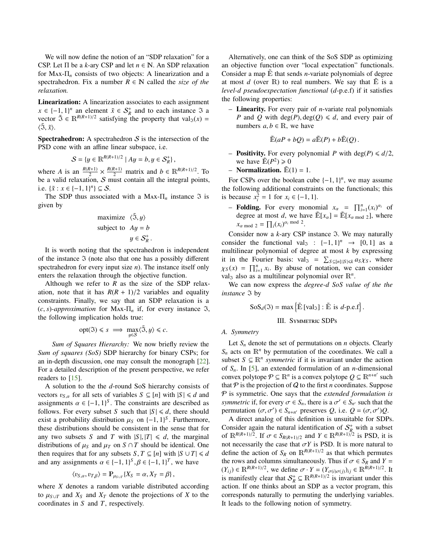<span id="page-2-1"></span>We will now define the notion of an "SDP relaxation" for a CSP. Let  $\Pi$  be a *k*-ary CSP and let  $n \in \mathbb{N}$ . An SDP relaxation for Max-Π*<sup>n</sup>* consists of two objects: A linearization and a spectrahedron. Fix a number  $R \in \mathbb{N}$  called the *size of the relaxation.*

Linearization: A linearization associates to each assignment  $x \in \{-1, 1\}^n$  an element  $\tilde{x} \in S_R^+$  and to each instance  $\tilde{y}$  a<br>*xector*  $\tilde{y} \in \mathbb{R}^{R(R+1)/2}$  satisfying the property that  $y_2(x)$  – vector  $\tilde{\mathfrak{I}} \in \mathbb{R}^{R(R+1)/2}$  satisfying the property that val $\mathfrak{I}(x)$  =  $\langle \tilde{\mathfrak{I}}, \tilde{x} \rangle$ .

**Spectrahedron:** A spectrahedron  $S$  is the intersection of the PSD cone with an affine linear subspace, i.e.

$$
S = \{ y \in \mathbb{R}^{R(R+1)/2} \mid Ay = b, y \in S_R^+ \},
$$

where *A* is an  $\frac{R(R+1)}{2} \times \frac{R(R+1)}{2}$  matrix and  $b \in \mathbb{R}^{R(R+1)/2}$ . To be a valid relaxation,  $S$  must contain all the integral points, i.e.  $\{\tilde{x}: x \in \{-1, 1\}^n\} \subseteq S$ .<br>The SDP thus associa

The SDP thus associated with a Max- $\Pi_n$  instance  $\Im$  is given by

maximize 
$$
\langle \tilde{\mathfrak{I}}, y \rangle
$$
  
subject to  $Ay = b$   
 $y \in S_R^+$ 

It is worth noting that the spectrahedron is independent of the instance  $\Im$  (note also that one has a possibly different spectrahedron for every input size *n*). The instance itself only enters the relaxation through the objective function.

Although we refer to  $R$  as the size of the SDP relaxation, note that it has  $R(R + 1)/2$  variables and equality constraints. Finally, we say that an SDP relaxation is a  $(c, s)$ -approximation for Max- $\Pi_n$  if, for every instance 3, the following implication holds true:

$$
opt(\mathfrak{I}) \leq s \implies \max_{y \in \mathcal{S}} \langle \mathfrak{I}, y \rangle \leq c.
$$

*Sum of Squares Hierarchy:* We now briefly review the *Sum of squares (SoS)* SDP hierarchy for binary CSPs; for an in-depth discussion, one may consult the monograph [\[22\]](#page-8-12). For a detailed description of the present perspective, we refer readers to [\[15\]](#page-8-6).

A solution to the the *d*-round SoS hierarchy consists of vectors  $v_{S,\alpha}$  for all sets of variables  $S \subseteq [n]$  with  $|S| \le d$  and assignments  $\alpha \in \{-1, 1\}^S$ . The constraints are described as follows. For every subset S such that  $|S| \le d$  there should follows. For every subset *S* such that  $|S| \le d$ , there should exist a probability distribution  $\mu_S$  on  $\{-1, 1\}^S$ . Furthermore, these distributions should be consistent in the sense that for these distributions should be consistent in the sense that for any two subsets *S* and *T* with  $|S|, |T| \le d$ , the marginal distributions of  $\mu_S$  and  $\mu_T$  on  $S \cap T$  should be identical. One then requires that for any subsets *S*,  $T \subseteq [n]$  with  $|S \cup T| \le d$ and any assignments  $\alpha \in \{-1, 1\}^S$ ,  $\beta \in \{-1, 1\}^T$ , we have

$$
\langle v_{S,\alpha}, v_{T,\beta}\rangle = \mathbb{P}_{\mu_{S\cup T}}\{X_S = \alpha, X_T = \beta\},\,
$$

where *X* denotes a random variable distributed according to  $\mu_{S \cup T}$  and  $X_S$  and  $X_T$  denote the projections of *X* to the coordinates in *S* and *T*, respectively.

Alternatively, one can think of the SoS SDP as optimizing an objective function over "local expectation" functionals. Consider a map  $\mathbb E$  that sends *n*-variate polynomials of degree at most  $d$  (over  $\mathbb R$ ) to real numbers. We say that  $\mathbb E$  is a *level-d pseudoexpectation functional* (*d*-p.e.f) if it satisfies the following properties:

– Linearity. For every pair of *n*-variate real polynomials *P* and *Q* with deg(*P*), deg(*Q*)  $\le d$ , and every pair of numbers  $a, b \in \mathbb{R}$ , we have

$$
\widetilde{\mathbb{E}}(aP + bQ) = a\widetilde{\mathbb{E}}(P) + b\widetilde{\mathbb{E}}(Q).
$$

- **Positivity.** For every polynomial P with deg(P)  $\leq d/2$ , we have  $\tilde{E}(P^2) \ge 0$
- Normalization.  $\tilde{E}(1) = 1$ .

For CSPs over the boolean cube  $\{-1, 1\}^n$ , we may assume<br>
is following additional constraints on the functionals: this the following additional constraints on the functionals; this is because  $x_i^2 = 1$  for  $x_i \in \{-1, 1\}$ .

**- Folding.** For every monomial  $x_{\alpha} = \prod_{i=1}^{n} (x_i)^{\alpha_i}$  of degree of meet d up here  $\tilde{w}$ <sub>*i*n</sub>  $1 - \tilde{w}$ <sub>*in*</sub>  $\tilde{w}$  up there degree at most *d*, we have  $\mathbb{E}[x_{\alpha}] = \mathbb{E}[x_{\alpha \mod 2}]$ , where  $x_{\alpha \mod 2} = \prod_i (x_i)^{\alpha_i \mod 2}$ .

Consider now a  $k$ -ary CSP instance  $\Im$ . We may naturally consider the functional  $val_{\mathfrak{Z}} : \{-1,1\}^n \rightarrow [0,1]$  as a multilinear polynomial of degree at most k by expressing multilinear polynomial of degree at most *k* by expressing it in the Fourier basis:  $\text{val}_{3} = \sum_{S \subseteq [n]:|S| \le k} a_{S} \chi_{S}$ , where  $\chi_S(x) = \prod_{i=1}^n x_i$ . By abuse of notation, we can consider walk also as a multilinear polynomial over  $\mathbb{R}^n$ val<sub>3</sub> also as a multilinear polynomial over  $\mathbb{R}^n$ .

We can now express the *degree-d SoS value of the the instance* 3 by

$$
SoS_d(\mathfrak{I}) = \max \left\{ \mathbb{E} \left[ \text{val}_{\mathfrak{I}} \right] : \mathbb{E} \text{ is } d\text{-p.e.f} \right\}.
$$

# III. SYMMETRIC SDPs

## <span id="page-2-0"></span>*A. Symmetry*

Let  $S_n$  denote the set of permutations on *n* objects. Clearly  $S_n$  acts on  $\mathbb{R}^n$  by permutation of the coordinates. We call a subset  $S \subseteq \mathbb{R}^n$  *symmetric* if it is invariant under the action of *Sn*. In [\[5\]](#page-7-2), an extended formulation of an *n*-dimensional convex polytope  $P \subseteq \mathbb{R}^n$  is a convex polytope  $Q \subseteq \mathbb{R}^{n+n'}$  such that  $P$  is the projection of  $Q$  to the first *n* coordinates. Suppose P is symmetric. One says that the *extended formulation is symmetric* if, for every  $\sigma \in S_n$ , there is a  $\sigma' \in S_{n'}$  such that the permutation  $(\sigma \sigma') \in S_{n'}$ , preserves  $\Omega$  i.e.  $\Omega = (\sigma \sigma')\Omega$ permutation  $(\sigma, \sigma') \in S_{n+n'}$  preserves *Q*, i.e.  $Q = (\sigma, \sigma')Q$ .<br>A direct analog of this definition is unsuitable for SDP.

A direct analog of this definition is unsuitable for SDPs. Consider again the natural identification of  $S_R^+$  with a subset of  $\mathbb{R}^{R(R+1)/2}$ . If  $\sigma \in S_{R(R+1)/2}$  and  $Y \in \mathbb{R}^{R(R+1)/2}$  is PSD, it is not necessarily the case that  $\sigma Y$  is PSD. It is more natural to not necessarily the case that  $\sigma Y$  is PSD. It is more natural to define the action of  $S_R$  on  $\mathbb{R}^{R(R+1)/2}$  as that which permutes the rows and columns simultaneously. Thus if  $\sigma \in S_R$  and  $Y =$  $(Y_{ij}) \in \mathbb{R}^{R(R+1)/2}$ , we define  $\sigma \cdot Y = (Y_{\sigma(i)\sigma(j)})_{ij} \in \mathbb{R}^{R(R+1)/2}$ . It is manifestly clear that  $S^+ \subset \mathbb{R}^{R(R+1)/2}$  is invariant under this is manifestly clear that  $S_R^+ \subseteq \mathbb{R}^{R(R+1)/2}$  is invariant under this action. If one thinks about an SDP as a vector program, this corresponds naturally to permuting the underlying variables. It leads to the following notion of symmetry.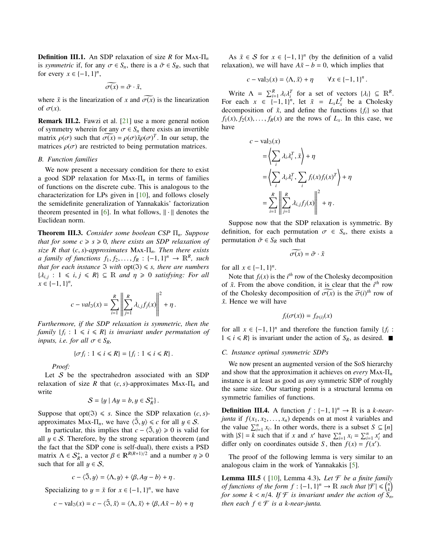<span id="page-3-2"></span>Definition III.1. An SDP relaxation of size *R* for Max-Π*<sup>n</sup>* is *symmetric* if, for any  $\sigma \in S_n$ , there is a  $\tilde{\sigma} \in S_R$ , such that for every  $x \in \{-1, 1\}^n$ ,

$$
\widetilde{\sigma(x)} = \widetilde{\sigma} \cdot \widetilde{x},
$$

where  $\tilde{x}$  is the linearization of *x* and  $\sigma(x)$  is the linearization of  $\sigma(x)$ of  $\sigma(x)$ .

Remark III.2. Fawzi et al. [\[21\]](#page-8-11) use a more general notion of symmetry wherein for any  $\sigma \in S_n$  there exists an invertible matrix  $\rho(\sigma)$  such that  $\sigma(x) = \rho(\sigma) \tilde{x} \rho(\sigma)^T$ . In our setup, the matrices  $\rho(\sigma)$  are restricted to being permutation matrices.

### *B. Function families*

We now present a necessary condition for there to exist a good SDP relaxation for Max-Π*<sup>n</sup>* in terms of families of functions on the discrete cube. This is analogous to the characterization for LPs given in [\[10\]](#page-8-1), and follows closely the semidefinite generalization of Yannakakis' factorization theorem presented in [\[6\]](#page-7-3). In what follows,  $\|\cdot\|$  denotes the Euclidean norm.

<span id="page-3-0"></span>Theorem III.3. *Consider some boolean CSP* Π*n. Suppose that for some*  $c \geq s \geq 0$ *, there exists an SDP relaxation of size <sup>R</sup> that* (*c*, *<sup>s</sup>*)*-approximates* <sup>M</sup>ax-Π*n. Then there exists a family of functions*  $f_1, f_2, \ldots, f_R : \{-1, 1\}^n \to \mathbb{R}^R$ , such that for each instance  $\mathcal{F}$  with ont $(\mathcal{F}) \leq s$  there are numbers *that for each instance*  $\Im$  *with*  $opt(\Im) \leq s$ *, there are numbers*  $\{\lambda_{i,j}: 1 \le i, j \le R\} \subseteq \mathbb{R}$  *and*  $\eta \ge 0$  *satisfying: For all*  $x \in \{-1, 1\}^n$ *<sup>x</sup>* ∈ {−1, <sup>1</sup>} *n ,*

$$
c - val_{\mathfrak{I}}(x) = \sum_{i=1}^{R} \left\| \sum_{j=1}^{R} \lambda_{i,j} f_j(x) \right\|^2 + \eta.
$$

*Furthermore, if the SDP relaxation is symmetric, then the family*  ${f_i : 1 \le i \le R}$  *is invariant under permutation of inputs, i.e. for all*  $\sigma \in S_R$ *,* 

$$
\{\sigma f_i: 1 \leq i \leq R\} = \{f_i: 1 \leq i \leq R\}.
$$

*Proof:*

Let  $S$  be the spectrahedron associated with an SDP relaxation of size *R* that  $(c, s)$ -approximates MAX- $\Pi_n$  and write

$$
\mathcal{S} = \{y \mid Ay = b, y \in \mathcal{S}_R^+\}.
$$

Suppose that opt( $\Im$ )  $\leq$  *s*. Since the SDP relaxation (*c*, *s*)approximates MAx- $\Pi_n$ , we have  $\langle \tilde{\mathfrak{I}}, y \rangle \leq c$  for all  $y \in S$ .

In particular, this implies that  $c - \langle \tilde{\mathfrak{I}}, y \rangle \ge 0$  is valid for all  $y \in S$ . Therefore, by the strong separation theorem (and the fact that the SDP cone is self-dual), there exists a PSD matrix  $\Lambda \in S^+_{R}$ , a vector  $\beta \in \mathbb{R}^{R(R+1)/2}$  and a number  $\eta \ge 0$ <br>such that for all  $\mu \in S$ such that for all  $y \in S$ ,

$$
c - \langle \tilde{\mathfrak{I}}, y \rangle = \langle \Lambda, y \rangle + \langle \beta, Ay - b \rangle + \eta.
$$

Specializing to  $y = \tilde{x}$  for  $x \in \{-1, 1\}^n$ , we have

$$
c - \text{val}_{\mathfrak{I}}(x) = c - \langle \tilde{\mathfrak{I}}, \tilde{x} \rangle = \langle \Lambda, \tilde{x} \rangle + \langle \beta, A\tilde{x} - b \rangle + \eta
$$

As  $\tilde{x} \in S$  for  $x \in \{-1, 1\}^n$  (by the definition of a valid avation) we will have  $4\tilde{x} - b - 0$  which implies that relaxation), we will have  $A\tilde{x} - b = 0$ , which implies that

$$
c - \operatorname{val}_{\mathfrak{I}}(x) = \langle \Lambda, \tilde{x} \rangle + \eta \qquad \forall x \in \{-1, 1\}^n.
$$

Write  $\Lambda = \sum_{i=1}^{R} \lambda_i \lambda_i^T$  for a set of vectors  $\{\lambda_i\} \subseteq \mathbb{R}^R$ .<br>*T* each  $x \in \{1, 1\}^n$  let  $\tilde{x} = I I^T$  be a Cholesky For each  $x \in \{-1, 1\}^n$ , let  $\tilde{x} = L_x L_x^T$  be a Cholesky decomposition of  $\tilde{x}$ , and define the functions  $\{f_i\}$  so that  $f_1(x), f_2(x), \ldots, f_R(x)$  are the rows of  $L_x$ . In this case, we have

$$
c - \text{val}_{\mathfrak{I}}(x)
$$
  
=  $\left\langle \sum_{i} \lambda_{i} \lambda_{i}^{T}, \tilde{x} \right\rangle + \eta$   
=  $\left\langle \sum_{i} \lambda_{i} \lambda_{i}^{T}, \sum_{i} f_{i}(x) f_{i}(x)^{T} \right\rangle + \eta$   
=  $\sum_{i=1}^{R} \left\| \sum_{j=1}^{R} \lambda_{i,j} f_{j}(x) \right\|^{2} + \eta$ .

Suppose now that the SDP relaxation is symmetric. By definition, for each permutation  $\sigma \in S_n$ , there exists a permutation  $\tilde{\sigma} \in S_R$  such that

$$
\widetilde{\sigma(x)} = \widetilde{\sigma} \cdot \widetilde{x}
$$

for all  $x \in \{-1, 1\}^n$ .<br>Note that  $f(x)$  is

Note that  $f_i(x)$  is the  $i^{th}$  row of the Cholesky decomposition of  $\tilde{x}$ . From the above condition, it is clear that the  $i^{th}$  row of the Cholesky decomposition of  $\sigma(x)$  is the  $\tilde{\sigma}(i)^{th}$  row of  $\tilde{\tau}$ . Hence we will have *x*˜. Hence we will have

$$
f_i(\sigma(x)) = f_{\tilde{\sigma}(i)}(x)
$$

for all  $x \in \{-1, 1\}^n$  and therefore the function family {*f<sub>i</sub>* :  $1 \le i \le R$ } is invariant under the action of  $S_0$  as desired  $1 \le i \le R$  is invariant under the action of  $S_R$ , as desired.  $\blacksquare$ 

# *C. Instance optimal symmetric SDPs*

We now present an augmented version of the SoS hierarchy and show that the approximation it achieves on *every* Max-Π*<sup>n</sup>* instance is at least as good as *any* symmetric SDP of roughly the same size. Our starting point is a structural lemma on symmetric families of functions.

**Definition III.4.** A function  $f : \{-1, 1\}^n \to \mathbb{R}$  is a *k-near-*<br>*iunta* if  $f(x, x_0, x_1)$  denends on at most *k* variables and *junta* if  $f(x_1, x_2, \ldots, x_n)$  depends on at most *k* variables and the value  $\sum_{i=1}^{n} x_i$ . In other words, there is a subset  $S \subseteq [n]$ with  $|S| = k$  such that if *x* and *x*<sup>*'*</sup> have  $\sum_{i=1}^{n} x_i = \sum_{i=1}^{n} x_i^i$  and differ only on coordinates outside *S*, then  $f(x) = f(x')$ .

The proof of the following lemma is very similar to an analogous claim in the work of Yannakakis [\[5\]](#page-7-2).

<span id="page-3-1"></span>**Lemma III.5** ( [\[10\]](#page-8-1), Lemma 4.3). Let  $\mathcal F$  be a finite family *of functions of the form*  $f : \{-1, 1\}^n \to \mathbb{R}$  *such that*  $|\mathcal{F}| \leq {n \choose k}$ <br>for some  $k \leq n/4$  If  $\mathcal{F}$  is invariant under the action of  $S$ *for some*  $k < n/4$ *. If*  $\mathcal{F}$  *is invariant under the action of*  $\widetilde{S}_n$ *, then each*  $f \in \mathcal{F}$  *is a k-near-junta.*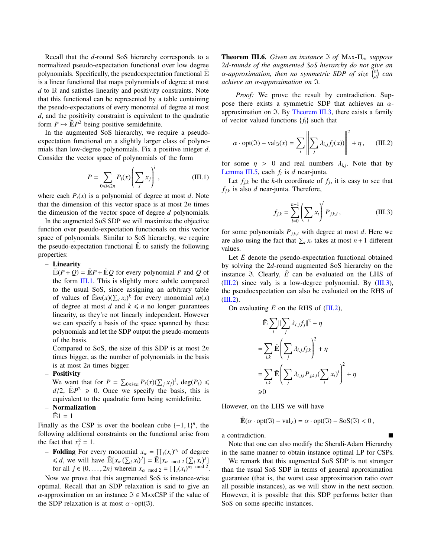Recall that the *d*-round SoS hierarchy corresponds to a normalized pseudo-expectation functional over low degree polynomials. Specifically, the pseudoexpectation functional  $E$ is a linear functional that maps polynomials of degree at most *d* to R and satisfies linearity and positivity constraints. Note that this functional can be represented by a table containing the pseudo-expectations of every monomial of degree at most *d*, and the positivity constraint is equivalent to the quadratic form  $P \mapsto \widetilde{E}P^2$  being positive semidefinite.

In the augmented SoS hierarchy, we require a pseudoexpectation functional on a slightly larger class of polynomials than low-degree polynomials. Fix a positive integer *d*. Consider the vector space of polynomials of the form

<span id="page-4-0"></span>
$$
P = \sum_{0 \le i \le 2n} P_i(x) \left( \sum_j x_j \right)^i, \tag{III.1}
$$

where each  $P_i(x)$  is a polynomial of degree at most *d*. Note that the dimension of this vector space is at most 2*n* times the dimension of the vector space of degree *d* polynomials.

In the augmented SoS SDP we will maximize the objective function over pseudo-expectation functionals on this vector space of polynomials. Similar to SoS hierarchy, we require the pseudo-expectation functional  $\tilde{E}$  to satisfy the following properties:

– Linearity

 $\mathbb{E}(P+Q) = \mathbb{E}P + \mathbb{E}Q$  for every polynomial P and Q of the form [III.1.](#page-4-0) This is slightly more subtle compared to the usual SoS, since assigning an arbitrary table of values of  $\mathbb{E}m(x)(\sum_i x_i)^k$  for every monomial  $m(x)$ of degree at most *d* and  $k \le n$  no longer guarantees linearity, as they're not linearly independent. However we can specify a basis of the space spanned by these polynomials and let the SDP output the pseudo-moments of the basis.

Compared to SoS, the size of this SDP is at most 2*n* times bigger, as the number of polynomials in the basis is at most 2*n* times bigger.

– Positivity

We want that for  $P = \sum_{0 \le i \le n} P_i(x) (\sum_j x_j)^i$ , deg( $P_i$ )  $\le$  $d/2$ ,  $\mathbb{E}P^2 \ge 0$ . Once we specify the basis, this is equivalent to the quadratic form being semidefinite equivalent to the quadratic form being semidefinite. – Normalization

 $\tilde{E}1 = 1$ 

Finally as the CSP is over the boolean cube  $\{-1, 1\}^n$ , the following additional constraints on the functional arise from following additional constraints on the functional arise from the fact that  $x_i^2 = 1$ .

- **Folding** For every monomial  $x_\alpha = \prod_i (x_i)^{\alpha_i}$  of degree  $\leq d$ , we will have  $\mathbb{E}[x_{\alpha}(\sum_{i} x_{i})^{j}] = \mathbb{E}[x_{\alpha} \mod 2(\sum_{i} x_{i})^{j}]$ for all  $j \in \{0, \ldots, 2n\}$  wherein  $x_{\alpha \mod 2} = \prod_i (x_i)^{\alpha_i \mod 2}$ .

Now we prove that this augmented SoS is instance-wise optimal. Recall that an SDP relaxation is said to give an  $\alpha$ -approximation on an instance  $\Im \in \text{MaxCSP}$  if the value of the SDP relaxation is at most  $\alpha \cdot \text{opt}(\mathfrak{I})$ .

Theorem III.6. *Given an instance* I *of* Max-Π*n, suppose* 2*d-rounds of the augmented SoS hierarchy do not give an*  $\alpha$ -approximation, then no symmetric SDP of size  $\begin{pmatrix} n \\ d \end{pmatrix}$  can<br>achieve an  $\alpha$ -approximation on  $\alpha$ *achieve an* α*-approximation on* <sup>I</sup>*.*

*Proof:* We prove the result by contradiction. Suppose there exists a symmetric SDP that achieves an  $\alpha$ approximation on  $\Im$ . By [Theorem III.3,](#page-3-0) there exists a family of vector valued functions {*fi*} such that

<span id="page-4-1"></span>
$$
\alpha \cdot \text{opt}(\mathfrak{I}) - \text{val}_{\mathfrak{I}}(x) = \sum_{i} \left\| \sum_{j} \lambda_{i,j} f_j(x) \right\|^2 + \eta, \quad (\text{III.2})
$$

for some  $\eta > 0$  and real numbers  $\lambda_{i,j}$ . Note that by<br>Lemma III.5, each f, is d near-junta [Lemma III.5,](#page-3-1) each *f<sup>i</sup>* is *d* near-junta.

Let  $f_{j,k}$  be the *k*-th coordinate of  $f_j$ , it is easy to see that  $f_{jk}$  is also *d* near-junta. Therefore,

<span id="page-4-2"></span>
$$
f_{j,k} = \sum_{l=0}^{n-1} \left( \sum_{t} x_t \right)^l P_{j,k,l}, \tag{III.3}
$$

for some polynomials  $P_{j,k,l}$  with degree at most *d*. Here we are also using the fact that  $\sum_{t} x_t$  takes at most  $n + 1$  different values.

Let  $\tilde{E}$  denote the pseudo-expectation functional obtained by solving the 2*d*-round augmented SoS hierarchy on the instance 3. Clearly,  $\tilde{E}$  can be evaluated on the LHS of [\(III.2\)](#page-4-1) since val<sub>3</sub> is a low-degree polynomial. By [\(III.3\)](#page-4-2), the pseudoexpectation can also be evaluated on the RHS of  $(III.2).$  $(III.2).$ 

On evaluating  $\tilde{E}$  on the RHS of [\(III.2\)](#page-4-1),

$$
\tilde{\mathbb{E}} \sum_{i} \|\sum_{j} \lambda_{i,j} f_j\|^2 + \eta
$$
\n
$$
= \sum_{i,k} \tilde{\mathbb{E}} \left( \sum_{j} \lambda_{i,j} f_{j,k} \right)^2 + \eta
$$
\n
$$
= \sum_{i,k} \tilde{\mathbb{E}} \left( \sum_{j} \lambda_{i,j,l} P_{j,k,l} (\sum_{i} x_i)^l \right)^2 + \eta
$$
\n
$$
\geq 0
$$

However, on the LHS we will have

$$
\mathbb{E}(\alpha \cdot \mathsf{opt}(\mathfrak{I}) - \mathsf{val}_{\mathfrak{I}}) = \alpha \cdot \mathsf{opt}(\mathfrak{I}) - \mathsf{SoS}(\mathfrak{I}) < 0,
$$

a contradiction.

Note that one can also modify the Sherali-Adam Hierarchy in the same manner to obtain instance optimal LP for CSPs.

We remark that this augmented SoS SDP is not stronger than the usual SoS SDP in terms of general approximation guarantee (that is, the worst case approximation ratio over all possible instances), as we will show in the next section. However, it is possible that this SDP performs better than SoS on some specific instances.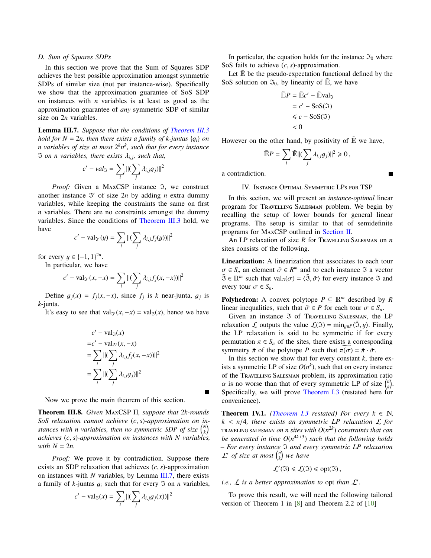# <span id="page-5-1"></span>*D. Sum of Squares SDPs*

In this section we prove that the Sum of Squares SDP achieves the best possible approximation amongst symmetric SDPs of similar size (not per instance-wise). Specifically we show that the approximation guarantee of SoS SDP on instances with *n* variables is at least as good as the approximation guarantee of *any* symmetric SDP of similar size on 2*n* variables.

<span id="page-5-0"></span>Lemma III.7. *Suppose that the conditions of [Theorem III.3](#page-3-0) hold for*  $N = 2n$ *, then there exists a family of k-juntas*  $\{g_i\}$  *on n variables of size at most* 2 *kn k , such that for every instance*  $\Im$  *on n variables, there exists*  $\lambda_{i,j}$ *, such that,* 

$$
c'-val_{\mathfrak{I}}=\sum_i\Vert(\sum_j\lambda_{i,j}g_j)\Vert^2
$$

*Proof:* Given a MAXCSP instance  $\Im$ , we construct another instance  $\Im'$  of size  $2n$  by adding *n* extra dummy variables, while keeping the constraints the same on first *n* variables. There are no constraints amongst the dummy variables. Since the conditions of [Theorem III.3](#page-3-0) hold, we have

$$
c' - \text{val}_{\mathcal{V}}(y) = \sum_{i} ||(\sum_{j} \lambda_{i,j} f_j(y))||^2
$$

for every  $y \in \{-1, 1\}^{2n}$ .<br>In particular, we have

In particular, we have  

$$
c' - \text{val}_{\mathfrak{I}'}(x, -x) = \sum_{i} ||(\sum_{j} \lambda_{i,j} f_j(x, -x))||^2
$$

Define  $g_j(x) = f_j(x, -x)$ , since  $f_j$  is *k* near-junta,  $g_j$  is unta *k*-junta.

It's easy to see that val<sub> $\Im'(x, -x) = \text{val}_{\Im}(x)$ , hence we have</sub>

$$
c' - \text{val}_{\Im}(x)
$$
  
=c' - val<sub>\Im</sub>'(x, -x)  
= 
$$
\sum_{i} ||(\sum_{j} \lambda_{i,j} f_j(x, -x))||^2
$$
  
= 
$$
\sum_{i} ||(\sum_{j} \lambda_{i,j} g_j)||^2
$$

Now we prove the main theorem of this section.

Theorem III.8. *Given* MaxCSP Π*, suppose that* 2*k-rounds SoS relaxation cannot achieve* (*c*, *<sup>s</sup>*)*-approximation on instances with n variables, then no symmetric SDP of size*  $\binom{N}{k}$ *achieves* (*c*, *<sup>s</sup>*)*-approximation on instances with <sup>N</sup> variables, with*  $N = 2n$ .

*Proof:* We prove it by contradiction. Suppose there exists an SDP relaxation that achieves (*c*, *<sup>s</sup>*)-approximation on instances with *N* variables, by Lemma [III.7,](#page-5-0) there exists a family of  $k$ -juntas  $g_i$  such that for every  $\Im$  on *n* variables,

$$
c' - \text{val}_{\mathfrak{I}}(x) = \sum_{i} ||(\sum_{j} \lambda_{i,j} g_j(x))||^2
$$

In particular, the equation holds for the instance  $\mathfrak{I}_0$  where SoS fails to achieve (*c*, *<sup>s</sup>*)-approximation.

Let  $\mathbb{\tilde{E}}$  be the pseudo-expectation functional defined by the SoS solution on  $\mathfrak{I}_0$ , by linearity of  $\mathbb{E}$ , we have

$$
\tilde{E}P = \tilde{E}c' - \tilde{E}\text{val}_{\mathfrak{F}}
$$

$$
= c' - \text{SoS}(\mathfrak{F})
$$

$$
\leq c - \text{SoS}(\mathfrak{F})
$$

$$
< 0
$$

However on the other hand, by positivity of  $\tilde{E}$  we have,

$$
\widetilde{\mathbb{E}}P = \sum_i \widetilde{\mathbb{E}} ||(\sum_j \lambda_{i,j} g_j)||^2 \geq 0,
$$

a contradiction.

# IV. Instance Optimal Symmetric LPs for TSP

Г

In this section, we will present an *instance-optimal* linear program for Travelling Salesman problem. We begin by recalling the setup of lower bounds for general linear programs. The setup is similar to that of semidefinite programs for MaxCSP outlined in [Section II.](#page-1-0)

An LP relaxation of size *R* for Travelling Salesman on *n* sites consists of the following.

Linearization: A linearization that associates to each tour  $\sigma \in S_n$  an element  $\tilde{\sigma} \in R^m$  and to each instance  $\tilde{\sigma}$  a vector  $\tilde{\sigma} \in R^m$  such that  $\text{val}_{\tilde{\sigma}}(\sigma) = \sqrt{\tilde{\sigma}} \tilde{\sigma}$  for every instance  $\tilde{\sigma}$  and  $\tilde{\mathfrak{I}} \in \mathbb{R}^m$  such that val $\mathfrak{I}(\sigma) = \langle \tilde{\mathfrak{I}}, \tilde{\sigma} \rangle$  for every instance  $\mathfrak{I}$  and every tour  $\sigma \in S_n$ .

**Polyhedron:** A convex polytope  $P \subseteq \mathbb{R}^m$  described by R linear inequalities, such that  $\tilde{\sigma} \in P$  for each tour  $\sigma \in S_n$ .

Given an instance  $\Im$  of Travelling SALESMAN, the LP relaxation L outputs the value  $\mathcal{L}(\mathfrak{I}) = \min_{u \in P} \langle \tilde{\mathfrak{I}}, y \rangle$ . Finally, the LP relaxation is said to be symmetric if for every permutation  $\pi \in S_n$  of the sites, there exists a corresponding symmetry  $\tilde{\pi}$  of the polytope *P* such that  $\pi(\sigma) = \tilde{\pi} \cdot \tilde{\sigma}$ .

In this section we show that for every constant  $k$ , there exists a symmetric LP of size  $O(n^k)$ , such that on every instance of the Travelling Salesman problem, its approximation ratio  $\alpha$  is no worse than that of every symmetric LP of size  $\binom{n}{k}$ .<br>Specifically, we will prove Theorem I.3 (restated here for Specifically, we will prove [Theorem I.3](#page-1-1) (restated here for convenience).

**Theorem IV.1.** *[\(Theorem I.3](#page-1-1) restated) For every*  $k \in \mathbb{N}$ ,  $k < n/4$ , there exists an symmetric LP relaxation  $\mathcal{L}$  for  $\pi$  and  $\pi$  *n* and  $\pi$  *n sites with*  $O(n^{2k})$  *constraints that can be generated in time O*(*n* 4*k*+3 ) *such that the following holds – For every instance* I *and every symmetric LP relaxation*  $\mathcal{L}'$  of size at most  $\binom{n}{k}$  we have

$$
\mathcal{L}'(\mathfrak{I}) \leq \mathcal{L}(\mathfrak{I}) \leq \text{opt}(\mathfrak{I}),
$$

*i.e.,*  $\mathcal L$  *is a better approximation to opt than*  $\mathcal L'$ *.* 

To prove this result, we will need the following tailored version of Theorem 1 in [\[8\]](#page-8-0) and Theorem 2.2 of [\[10\]](#page-8-1)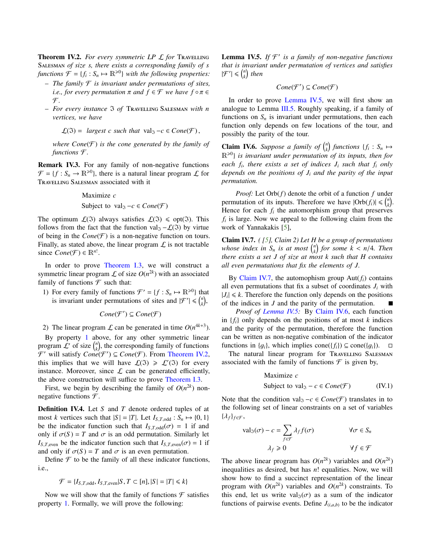<span id="page-6-6"></span><span id="page-6-1"></span>Theorem IV.2. *For every symmetric LP* L *for* Travelling Salesman *of size s, there exists a corresponding family of s functions*  $\mathcal{F} = \{f_i : S_n \mapsto \mathbb{R}^{\geq 0}\}\$  *with the following properties:* 

- *The family* F *is invariant under permutations of sites, i.e., for every permutation*  $\pi$  *and*  $f \in \mathcal{F}$  *we have*  $f \circ \pi \in$  $\mathcal{F}.$
- *For every instance* I *of* Travelling Salesman *with n vertices, we have*

$$
\mathcal{L}(\mathfrak{I}) = \text{ largest } c \text{ such that } \text{val}_{\mathfrak{I}} - c \in \text{Cone}(\mathcal{F}),
$$

*where*  $Cone(\mathcal{F})$  *is the cone generated by the family of functions* F *.*

Remark IV.3. For any family of non-negative functions  $\mathcal{F} = \{f : S_n \to \mathbb{R}^{\geq 0}\}$ , there is a natural linear program  $\mathcal{L}$  for Travelling Salesman associated with it

Maximize *c*

Subject to val<sub>3</sub> 
$$
-c \in Cone(\mathcal{F})
$$

The optimum  $\mathcal{L}(\mathfrak{I})$  always satisfies  $\mathcal{L}(\mathfrak{I}) \leq \text{opt}(\mathfrak{I})$ . This follows from the fact that the function val<sub> $\mathfrak{I} - \mathcal{L}(\mathfrak{I})$  by virtue</sub> of being in the  $Cone(\mathcal{F})$  is a non-negative function on tours. Finally, as stated above, the linear program  $\mathcal L$  is not tractable since  $Cone(\mathcal{F}) \in \mathbb{R}^{n!}$ .

In order to prove [Theorem I.3,](#page-1-1) we will construct a symmetric linear program  $\mathcal L$  of size  $O(n^{2k})$  with an associated family of functions  $\mathcal F$  such that:

<span id="page-6-0"></span>1) For every family of functions  $\mathcal{F}' = \{f : S_n \mapsto \mathbb{R}^{\geq 0}\}\)$  that is invariant under permutations of sites and  $|{\mathcal F}'| \leq {n \choose k}$ ,

$$
Cone(\mathcal{F}') \subseteq Cone(\mathcal{F})
$$

2) The linear program  $\mathcal L$  can be generated in time  $O(n^{4k+3})$ .

By property [1](#page-6-0) above, for any other symmetric linear program  $\mathcal{L}'$  of size  $\binom{n}{k}$ , the corresponding family of functions  $\mathcal{F}'$  will satisfy  $Cone(\mathcal{F}') \subseteq Cone(\mathcal{F})$ . From [Theorem IV.2,](#page-6-1) this implies that we will have  $\mathcal{L}(\Im) \geq \mathcal{L}'(\Im)$  for every instance. Moreover, since  $\mathcal L$  can be generated efficiently, the above construction will suffice to prove [Theorem I.3.](#page-1-1)

First, we begin by describing the family of  $O(n^{2k})$  nonnegative functions  $\mathcal{F}$ .

Definition IV.4. Let *S* and *T* denote ordered tuples of at most *k* vertices such that  $|S| = |T|$ . Let  $I_{S,T,odd}$ :  $S_n \mapsto \{0, 1\}$ be the indicator function such that  $I_{S,T,odd}(\sigma) = 1$  if and only if  $\sigma(S) = T$  and  $\sigma$  is an odd permutation. Similarly let *I*<sub>*S*</sub>,*T*,even be the indicator function such that  $I_{S,T,\text{even}}(\sigma) = 1$  if and only if  $\sigma(S) = T$  and  $\sigma$  is an even permutation.

Define  $\mathcal F$  to be the family of all these indicator functions, i.e.,

$$
\mathcal{F} = \{I_{S,T,\text{odd}}, I_{S,T,\text{even}}|S,T \subset [n], |S| = |T| \le k\}
$$

Now we will show that the family of functions  $\mathcal F$  satisfies property [1.](#page-6-0) Formally, we will prove the following:

<span id="page-6-2"></span>Lemma IV.5. If  $\mathcal{F}'$  is a family of non-negative functions *that is invariant under permutation of vertices and satisfies*  $|\mathcal{F}'| \leq \binom{n}{k}$  then

$$
Cone(\mathcal{F}') \subseteq Cone(\mathcal{F})
$$

In order to prove [Lemma IV.5,](#page-6-2) we will first show an analogue to Lemma  $III.5$ . Roughly speaking, if a family of functions on  $S_n$  is invariant under permutations, then each function only depends on few locations of the tour, and possibly the parity of the tour.

<span id="page-6-4"></span>**Claim IV.6.** Suppose a family of  $\binom{n}{k}$  functions  $\{f_i : S_n \mapsto$ R><sup>0</sup> } *is invariant under permutation of its inputs, then for each f<sup>i</sup> , there exists a set of indices J<sup>i</sup> such that f<sup>i</sup> only depends on the positions of J<sup>i</sup> and the parity of the input permutation.*

*Proof:* Let Orb(*f*) denote the orbit of a function *f* under permutation of its inputs. Therefore we have  $|\text{Orb}(f_i)| \leq {n \choose k}$ . Hence for each  $f_i$  the automorphism group that preserves *fi* is large. Now we appeal to the following claim from the work of Yannakakis [\[5\]](#page-7-2),

<span id="page-6-3"></span>Claim IV.7. *( [\[5\]](#page-7-2), Claim 2) Let H be a group of permutations whose index in*  $S_n$  *is at most*  $\binom{n}{k}$  *for some*  $k < n/4$ *. Then there exists a set I of size at most*  $k$  such that H contains *there exists a set J of size at most k such that H contains all even permutations that fix the elements of J.*

By [Claim IV.7,](#page-6-3) the automophism group  $Aut(f_i)$  contains all even permutations that fix a subset of coordinates  $J_i$  with  $|J_i| \le k$ . Therefore the function only depends on the positions of the indices in *J* and the parity of the permutation.

*Proof of [Lemma IV.5:](#page-6-2)* By [Claim IV.6,](#page-6-4) each function in  ${f_i}$  only depends on the positions of at most *k* indices and the parity of the permutation, therefore the function can be written as non-negative combination of the indicator functions in  $\{g_i\}$ , which implies cone $(\{f_i\}) \subseteq \text{cone}(\{g_i\})$ .  $\Box$ 

The natural linear program for TRAVELLING SALESMAN associated with the family of functions  $\mathcal F$  is given by,

<span id="page-6-5"></span>
$$
\begin{aligned}\n\text{Maximize } c\\ \n\text{Subject to } \n\text{val}_3 - c \in \text{Cone}(\mathcal{F}) \quad \text{(IV.1)}\n\end{aligned}
$$

Note that the condition val<sub>3</sub>  $-c \in Cone(\mathcal{F})$  translates in to the following set of linear constraints on a set of variables  $\{\lambda_f\}_{f \in \mathcal{F}}$ ,

$$
\text{val}_{\mathfrak{I}}(\sigma) - c = \sum_{f \in \mathcal{F}} \lambda_f f(\sigma) \qquad \forall \sigma \in S_n
$$

$$
\lambda_f \ge 0 \qquad \forall f \in \mathcal{F}
$$

The above linear program has  $O(n^{2k})$  variables and  $O(n^{2k})$ inequalities as desired, but has *n*! equalities. Now, we will show how to find a succinct representation of the linear program with  $O(n^{2k})$  variables and  $O(n^{2k})$  constraints. To this end, let us write val<sub>3</sub>( $\sigma$ ) as a sum of the indicator functions of pairwise events. Define  $J_{(i,a,b)}$  to be the indicator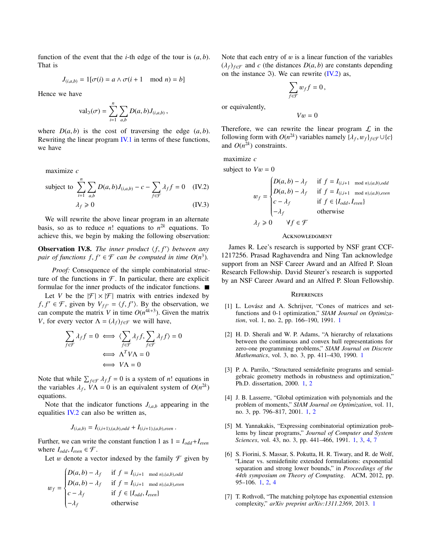function of the event that the *i*-th edge of the tour is  $(a, b)$ . That is

$$
J_{(i,a,b)} = 1[\sigma(i) = a \land \sigma(i+1 \mod n) = b]
$$

Hence we have

$$
\mathrm{val}_{\mathfrak{I}}(\sigma) = \sum_{i=1}^{n} \sum_{a,b} D(a,b) J_{(i,a,b)},
$$

where  $D(a, b)$  is the cost of traversing the edge  $(a, b)$ . Rewriting the linear program [IV.1](#page-6-5) in terms of these functions, we have

maximize *c*

subject to 
$$
\sum_{i=1}^{n} \sum_{a,b} D(a,b)J_{(i,a,b)} - c - \sum_{f \in \mathcal{F}} \lambda_f f = 0 \quad \text{(IV.2)}
$$

$$
\lambda_f \ge 0 \qquad \qquad \text{(IV.3)}
$$

We will rewrite the above linear program in an alternate basis, so as to reduce *n*! equations to  $n^{2k}$  equations. To achieve this, we begin by making the following observation:

**Observation IV.8.** *The inner product*  $\langle f, f' \rangle$  *between any pair of functions*  $f, f' \in \mathcal{F}$  *can be computed in time*  $O(n^3)$ *pair of functions*  $f, f' \in \mathcal{F}$  *can be computed in time*  $O(n^3)$ *.* 

*Proof:* Consequence of the simple combinatorial structure of the functions in  $\mathcal F$ . In particular, there are explicit formulae for the inner products of the indicator functions.

Let *V* be the  $|\mathcal{F}| \times |\mathcal{F}|$  matrix with entries indexed by *f*, *f*  $' \in \mathcal{F}$ , given by  $V_{ff'} = \langle f, f' \rangle$ . By the observation, we can compute the matrix *V* in time  $O(n^{4k+3})$ . Given the matrix can compute the matrix *V* in time  $O(n^{4k+3})$ . Given the matrix *V*, for every vector  $\Lambda = (\lambda_f)_{f \in \mathcal{F}}$  we will have,

$$
\sum_{f \in \mathcal{F}} \lambda_f f = 0 \iff \langle \sum_{f \in \mathcal{F}} \lambda_f f, \sum_{f \in \mathcal{F}} \lambda_f f \rangle = 0
$$

$$
\iff \Lambda^T V \Lambda = 0
$$

$$
\iff V \Lambda = 0
$$

Note that while  $\sum_{f \in \mathcal{F}} \lambda_f f = 0$  is a system of *n*! equations in *<sup>f</sup>* ∈F λ*<sup>f</sup>* the variables  $\lambda_f$ ,  $\dot{V}\Lambda = 0$  is an equivalent system of  $O(n^{2k})$ equations.

Note that the indicator functions  $J_{i,a,b}$  appearing in the equalities  $IV.2$  can also be written as,

$$
J_{(i,a,b)} = I_{(i,i+1),(a,b),odd} + I_{(i,i+1),(a,b),even}.
$$

Further, we can write the constant function 1 as  $1 = I_{odd} + I_{even}$ where  $I_{odd}$ ,  $I_{even} \in \mathcal{F}$ .

Let w denote a vector indexed by the family  $\mathcal F$  given by

$$
w_f = \begin{cases} D(a,b) - \lambda_f & \text{if } f = I_{(i,i+1 \mod n),(a,b),odd} \\ D(a,b) - \lambda_f & \text{if } f = I_{(i,i+1 \mod n),(a,b),even} \\ c - \lambda_f & \text{if } f \in \{I_{odd}, I_{even}\} \\ -\lambda_f & \text{otherwise} \end{cases}
$$

Note that each entry of  $w$  is a linear function of the variables  $(\lambda_f)_{f \in \mathcal{F}}$  and *c* (the distances  $D(a, b)$  are constants depending on the instance  $\Im$ ). We can rewrite [\(IV.2\)](#page-7-6) as,

$$
\sum_{f\in\mathcal{F}}w_{f}f=0\,,
$$

or equivalently,

 $Vw = 0$ 

Therefore, we can rewrite the linear program  $\mathcal L$  in the following form with  $O(n^{2k})$  variables namely  $\{\lambda_f, w_f\}_{f \in \mathcal{F}} \cup \{c\}$ <br>and  $O(n^{2k})$  constraints and  $O(n^{2k})$  constraints.

maximize *c*

<span id="page-7-6"></span>subject to  $Vw = 0$ 

$$
w_f = \begin{cases} D(a, b) - \lambda_f & \text{if } f = I_{(i, i+1 \mod n), (a, b), odd} \\ D(a, b) - \lambda_f & \text{if } f = I_{(i, i+1 \mod n), (a, b), even} \\ c - \lambda_f & \text{if } f \in \{I_{odd}, I_{even}\} \\ -\lambda_f & \text{otherwise} \end{cases}
$$

$$
\lambda_f \ge 0 \quad \forall f \in \mathcal{F}
$$

#### **ACKNOWLEDGMENT**

James R. Lee's research is supported by NSF grant CCF-1217256. Prasad Raghavendra and Ning Tan acknowledge support from an NSF Career Award and an Alfred P. Sloan Research Fellowship. David Steurer's research is supported by an NSF Career Award and an Alfred P. Sloan Fellowship.

#### **REFERENCES**

- <span id="page-7-0"></span>[1] L. Lovász and A. Schrijver, "Cones of matrices and setfunctions and 0-1 optimization," *SIAM Journal on Optimization*, vol. 1, no. 2, pp. 166–190, 1991. [1](#page-0-1)
- [2] H. D. Sherali and W. P. Adams, "A hierarchy of relaxations between the continuous and convex hull representations for zero-one programming problems," *SIAM Journal on Discrete Mathematics*, vol. 3, no. 3, pp. 411–430, 1990. [1](#page-0-1)
- <span id="page-7-5"></span>[3] P. A. Parrilo, "Structured semidefinite programs and semialgebraic geometry methods in robustness and optimization," Ph.D. dissertation, 2000. [1,](#page-0-1) [2](#page-1-2)
- <span id="page-7-1"></span>[4] J. B. Lasserre, "Global optimization with polynomials and the problem of moments," *SIAM Journal on Optimization*, vol. 11, no. 3, pp. 796–817, 2001. [1,](#page-0-1) [2](#page-1-2)
- <span id="page-7-2"></span>[5] M. Yannakakis, "Expressing combinatorial optimization problems by linear programs," *Journal of Computer and System Sciences*, vol. 43, no. 3, pp. 441–466, 1991. [1,](#page-0-1) [3,](#page-2-1) [4,](#page-3-2) [7](#page-6-6)
- <span id="page-7-3"></span>[6] S. Fiorini, S. Massar, S. Pokutta, H. R. Tiwary, and R. de Wolf, "Linear vs. semidefinite extended formulations: exponential separation and strong lower bounds," in *Proceedings of the 44th symposium on Theory of Computing*. ACM, 2012, pp. 95–106. [1,](#page-0-1) [2,](#page-1-2) [4](#page-3-2)
- <span id="page-7-4"></span>[7] T. Rothvoß, "The matching polytope has exponential extension complexity," *arXiv preprint arXiv:1311.2369*, 2013. [1](#page-0-1)